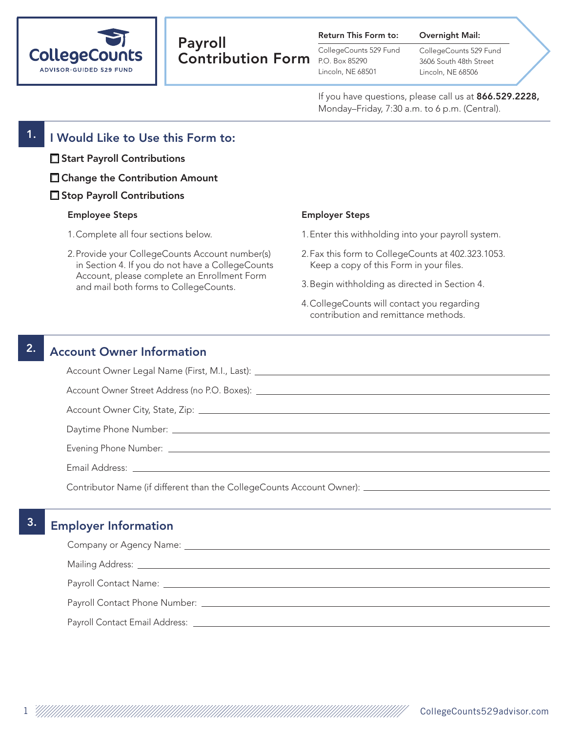

# Payroll Contribution Form P.O. Box 85290

| <b>Return This Form to:</b> |  |  |  |
|-----------------------------|--|--|--|
|-----------------------------|--|--|--|

CollegeCounts 529 Fund Lincoln, NE 68501

CollegeCounts 529 Fund 3606 South 48th Street Lincoln, NE 68506

Overnight Mail:

If you have questions, please call us at 866.529.2228, Monday–Friday, 7:30 a.m. to 6 p.m. (Central).

#### $1.$  I Would Like to Use this Form to:

- □ Start Payroll Contributions
- □ Change the Contribution Amount
- □ Stop Payroll Contributions

#### Employee Steps

- 1.Complete all four sections below.
- 2.Provide your CollegeCounts Account number(s) in Section 4. If you do not have a CollegeCounts Account, please complete an Enrollment Form and mail both forms to CollegeCounts.

#### Employer Steps

- 1.Enter this withholding into your payroll system.
- 2.Fax this form to CollegeCounts at 402.323.1053. Keep a copy of this Form in your files.
- 3.Begin withholding as directed in Section 4.
- 4.CollegeCounts will contact you regarding contribution and remittance methods.

#### 2. Account Owner Information

Account Owner Legal Name (First, M.I., Last):

Account Owner Street Address (no P.O. Boxes): \_\_\_\_\_\_\_\_\_\_\_\_\_\_\_\_\_\_\_\_\_\_\_\_\_\_\_\_\_\_\_\_\_\_

Account Owner City, State, Zip:

Daytime Phone Number:

Evening Phone Number:

Email Address:

Contributor Name (if different than the CollegeCounts Account Owner):

### 3. Employer Information

| Company or Agency Name: Company or Agency Name: Company or Agency Name: Company or Agency Name: Company or Agency Name: Company or Agency Name: Company or Agency Name: Company or Agency Name: Company or Agency Name: Compan |
|--------------------------------------------------------------------------------------------------------------------------------------------------------------------------------------------------------------------------------|
| Mailing Address: National Address: National Address: National Address: National Address: National Address: National Address: National Address: National Address: National Address: National Address: National Address: Nationa |
|                                                                                                                                                                                                                                |
|                                                                                                                                                                                                                                |
| Payroll Contact Email Address: __________                                                                                                                                                                                      |